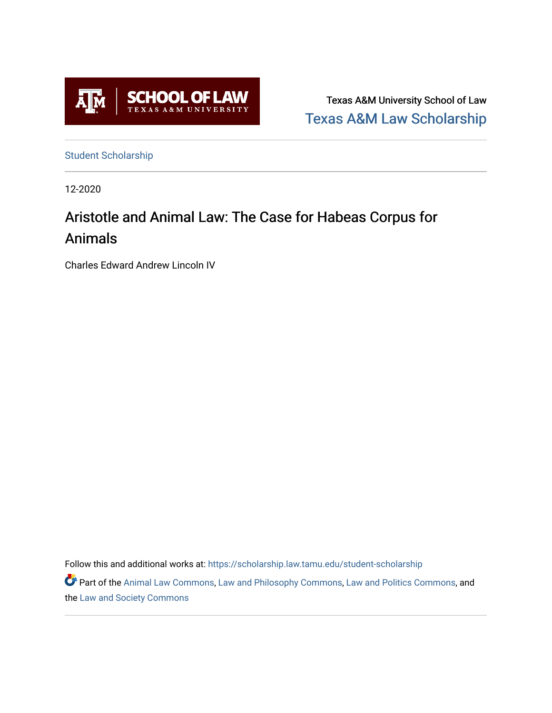

Texas A&M University School of Law [Texas A&M Law Scholarship](https://scholarship.law.tamu.edu/) 

[Student Scholarship](https://scholarship.law.tamu.edu/student-scholarship)

12-2020

# Aristotle and Animal Law: The Case for Habeas Corpus for Animals

Charles Edward Andrew Lincoln IV

Follow this and additional works at: [https://scholarship.law.tamu.edu/student-scholarship](https://scholarship.law.tamu.edu/student-scholarship?utm_source=scholarship.law.tamu.edu%2Fstudent-scholarship%2F11&utm_medium=PDF&utm_campaign=PDFCoverPages) 

Part of the [Animal Law Commons,](https://network.bepress.com/hgg/discipline/831?utm_source=scholarship.law.tamu.edu%2Fstudent-scholarship%2F11&utm_medium=PDF&utm_campaign=PDFCoverPages) [Law and Philosophy Commons,](https://network.bepress.com/hgg/discipline/1299?utm_source=scholarship.law.tamu.edu%2Fstudent-scholarship%2F11&utm_medium=PDF&utm_campaign=PDFCoverPages) [Law and Politics Commons,](https://network.bepress.com/hgg/discipline/867?utm_source=scholarship.law.tamu.edu%2Fstudent-scholarship%2F11&utm_medium=PDF&utm_campaign=PDFCoverPages) and the [Law and Society Commons](https://network.bepress.com/hgg/discipline/853?utm_source=scholarship.law.tamu.edu%2Fstudent-scholarship%2F11&utm_medium=PDF&utm_campaign=PDFCoverPages)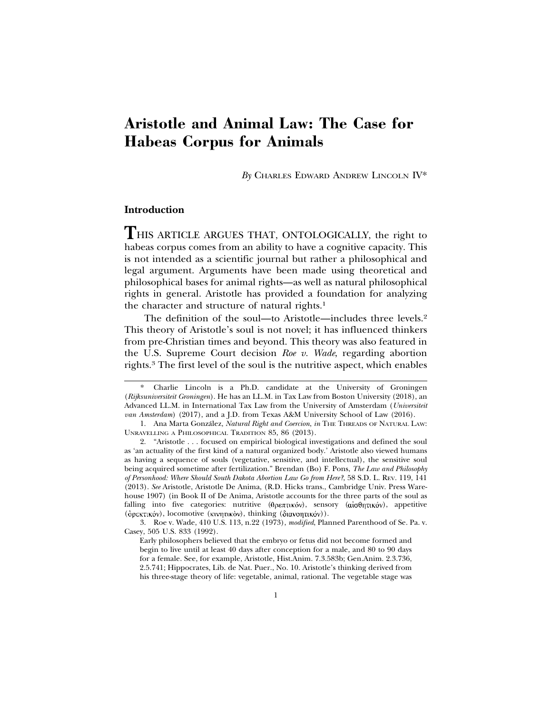## **Aristotle and Animal Law: The Case for Habeas Corpus for Animals**

*By* CHARLES EDWARD ANDREW LINCOLN IV\*

## **Introduction**

**T**HIS ARTICLE ARGUES THAT, ONTOLOGICALLY, the right to habeas corpus comes from an ability to have a cognitive capacity. This is not intended as a scientific journal but rather a philosophical and legal argument. Arguments have been made using theoretical and philosophical bases for animal rights—as well as natural philosophical rights in general. Aristotle has provided a foundation for analyzing the character and structure of natural rights.<sup>1</sup>

The definition of the soul—to Aristotle—includes three levels.<sup>2</sup> This theory of Aristotle's soul is not novel; it has influenced thinkers from pre-Christian times and beyond. This theory was also featured in the U.S. Supreme Court decision *Roe v. Wade*, regarding abortion rights.3 The first level of the soul is the nutritive aspect, which enables

Charlie Lincoln is a Ph.D. candidate at the University of Groningen (*Rijksuniversiteit Groningen*). He has an LL.M. in Tax Law from Boston University (2018), an Advanced LL.M. in International Tax Law from the University of Amsterdam (*Universiteit van Amsterdam*) (2017), and a J.D. from Texas A&M University School of Law (2016).

<sup>1.</sup> Ana Marta González, *Natural Right and Coercion*, *in* THE THREADS OF NATURAL LAW: UNRAVELLING A PHILOSOPHICAL TRADITION 85, 86 (2013).

<sup>2. &</sup>quot;Aristotle . . . focused on empirical biological investigations and defined the soul as 'an actuality of the first kind of a natural organized body.' Aristotle also viewed humans as having a sequence of souls (vegetative, sensitive, and intellectual), the sensitive soul being acquired sometime after fertilization." Brendan (Bo) F. Pons, *The Law and Philosophy of Personhood: Where Should South Dakota Abortion Law Go from Here?*, 58 S.D. L. REV. 119, 141 (2013). *See* Aristotle, Aristotle De Anima, (R.D. Hicks trans., Cambridge Univ. Press Warehouse 1907) (in Book II of De Anima, Aristotle accounts for the three parts of the soul as falling into five categories: nutritive ( $\theta$ ρεπτικόν), sensory ( $\alpha$ iσ $\theta$ ητικόν), appetitive ( όρεκτικόν), locomotive (κινητικόν), thinking (διανοητικόν)).

<sup>3.</sup> Roe v. Wade, 410 U.S. 113, n.22 (1973), *modified*, Planned Parenthood of Se. Pa. v. Casey, 505 U.S. 833 (1992).

Early philosophers believed that the embryo or fetus did not become formed and begin to live until at least 40 days after conception for a male, and 80 to 90 days for a female. See, for example, Aristotle, Hist.Anim. 7.3.583b; Gen.Anim. 2.3.736, 2.5.741; Hippocrates, Lib. de Nat. Puer., No. 10. Aristotle's thinking derived from his three-stage theory of life: vegetable, animal, rational. The vegetable stage was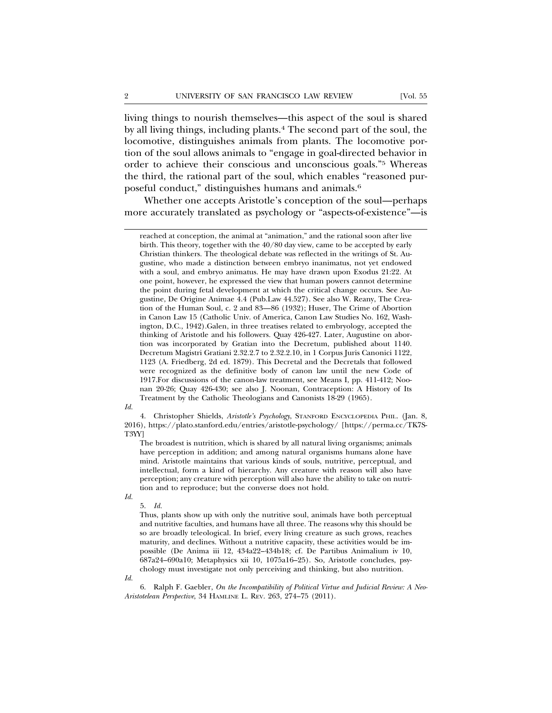living things to nourish themselves—this aspect of the soul is shared by all living things, including plants.4 The second part of the soul, the locomotive, distinguishes animals from plants. The locomotive portion of the soul allows animals to "engage in goal-directed behavior in order to achieve their conscious and unconscious goals."5 Whereas the third, the rational part of the soul, which enables "reasoned purposeful conduct," distinguishes humans and animals.6

Whether one accepts Aristotle's conception of the soul—perhaps more accurately translated as psychology or "aspects-of-existence"—is

#### *Id.*

4. Christopher Shields, *Aristotle's Psychology*, STANFORD ENCYCLOPEDIA PHIL. (Jan. 8, 2016), https://plato.stanford.edu/entries/aristotle-psychology/ [https://perma.cc/TK7S-T3YY]

The broadest is nutrition, which is shared by all natural living organisms; animals have perception in addition; and among natural organisms humans alone have mind. Aristotle maintains that various kinds of souls, nutritive, perceptual, and intellectual, form a kind of hierarchy. Any creature with reason will also have perception; any creature with perception will also have the ability to take on nutrition and to reproduce; but the converse does not hold.

*Id.*

Thus, plants show up with only the nutritive soul, animals have both perceptual and nutritive faculties, and humans have all three. The reasons why this should be so are broadly teleological. In brief, every living creature as such grows, reaches maturity, and declines. Without a nutritive capacity, these activities would be impossible (De Anima iii 12, 434a22–434b18; cf. De Partibus Animalium iv 10, 687a24–690a10; Metaphysics xii 10, 1075a16–25). So, Aristotle concludes, psychology must investigate not only perceiving and thinking, but also nutrition.

*Id.*

6. Ralph F. Gaebler, *On the Incompatibility of Political Virtue and Judicial Review: A Neo-Aristotelean Perspective*, 34 HAMLINE L. REV. 263, 274–75 (2011).

reached at conception, the animal at "animation," and the rational soon after live birth. This theory, together with the 40/80 day view, came to be accepted by early Christian thinkers. The theological debate was reflected in the writings of St. Augustine, who made a distinction between embryo inanimatus, not yet endowed with a soul, and embryo animatus. He may have drawn upon Exodus 21:22. At one point, however, he expressed the view that human powers cannot determine the point during fetal development at which the critical change occurs. See Augustine, De Origine Animae 4.4 (Pub.Law 44.527). See also W. Reany, The Creation of the Human Soul, c. 2 and 83—86 (1932); Huser, The Crime of Abortion in Canon Law 15 (Catholic Univ. of America, Canon Law Studies No. 162, Washington, D.C., 1942).Galen, in three treatises related to embryology, accepted the thinking of Aristotle and his followers. Quay 426-427. Later, Augustine on abortion was incorporated by Gratian into the Decretum, published about 1140. Decretum Magistri Gratiani 2.32.2.7 to 2.32.2.10, in 1 Corpus Juris Canonici 1122, 1123 (A. Friedberg, 2d ed. 1879). This Decretal and the Decretals that followed were recognized as the definitive body of canon law until the new Code of 1917.For discussions of the canon-law treatment, see Means I, pp. 411-412; Noonan 20-26; Quay 426-430; see also J. Noonan, Contraception: A History of Its Treatment by the Catholic Theologians and Canonists 18-29 (1965).

<sup>5.</sup> *Id.*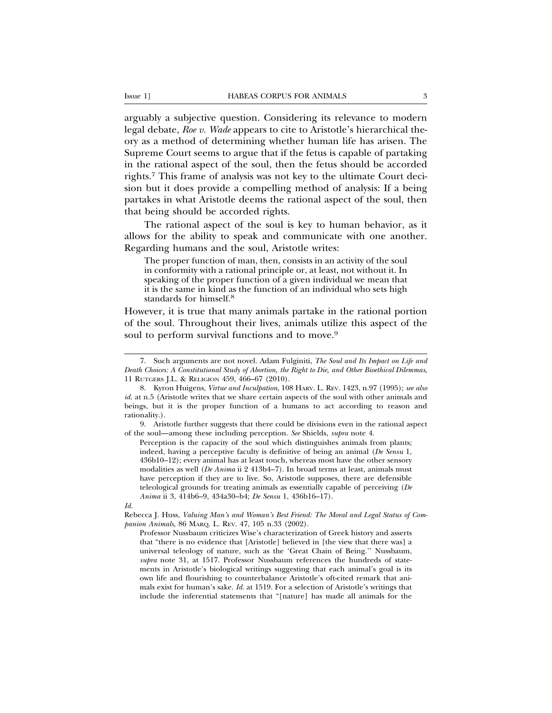arguably a subjective question. Considering its relevance to modern legal debate, *Roe v. Wade* appears to cite to Aristotle's hierarchical theory as a method of determining whether human life has arisen. The Supreme Court seems to argue that if the fetus is capable of partaking in the rational aspect of the soul, then the fetus should be accorded rights.7 This frame of analysis was not key to the ultimate Court decision but it does provide a compelling method of analysis: If a being partakes in what Aristotle deems the rational aspect of the soul, then that being should be accorded rights.

The rational aspect of the soul is key to human behavior, as it allows for the ability to speak and communicate with one another. Regarding humans and the soul, Aristotle writes:

The proper function of man, then, consists in an activity of the soul in conformity with a rational principle or, at least, not without it. In speaking of the proper function of a given individual we mean that it is the same in kind as the function of an individual who sets high standards for himself.<sup>8</sup>

However, it is true that many animals partake in the rational portion of the soul. Throughout their lives, animals utilize this aspect of the soul to perform survival functions and to move.<sup>9</sup>

9. Aristotle further suggests that there could be divisions even in the rational aspect of the soul—among these including perception. *See* Shields, *supra* note 4.

Perception is the capacity of the soul which distinguishes animals from plants; indeed, having a perceptive faculty is definitive of being an animal (*De Sensu* 1, 436b10–12); every animal has at least touch, whereas most have the other sensory modalities as well (*De Anima* ii 2 413b4–7). In broad terms at least, animals must have perception if they are to live. So, Aristotle supposes, there are defensible teleological grounds for treating animals as essentially capable of perceiving (*De Anima* ii 3, 414b6–9, 434a30–b4; *De Sensu* 1, 436b16–17).

*Id.*

<sup>7.</sup> Such arguments are not novel. Adam Fulginiti, *The Soul and Its Impact on Life and Death Choices: A Constitutional Study of Abortion, the Right to Die, and Other Bioethical Dilemmas*, 11 RUTGERS J.L. & RELIGION 459, 466–67 (2010).

<sup>8.</sup> Kyron Huigens, *Virtue and Inculpation*, 108 HARV. L. REV. 1423, n.97 (1995); *see also id.* at n.5 (Aristotle writes that we share certain aspects of the soul with other animals and beings, but it is the proper function of a humans to act according to reason and rationality.).

Rebecca J. Huss, *Valuing Man's and Woman's Best Friend: The Moral and Legal Status of Companion Animals*, 86 MARQ. L. REV. 47, 105 n.33 (2002).

Professor Nussbaum criticizes Wise's characterization of Greek history and asserts that "there is no evidence that [Aristotle] believed in [the view that there was] a universal teleology of nature, such as the 'Great Chain of Being.'' Nussbaum, *supra* note 31, at 1517. Professor Nussbaum references the hundreds of statements in Aristotle's biological writings suggesting that each animal's goal is its own life and flourishing to counterbalance Aristotle's oft-cited remark that animals exist for human's sake. *Id.* at 1519. For a selection of Aristotle's writings that include the inferential statements that "[nature] has made all animals for the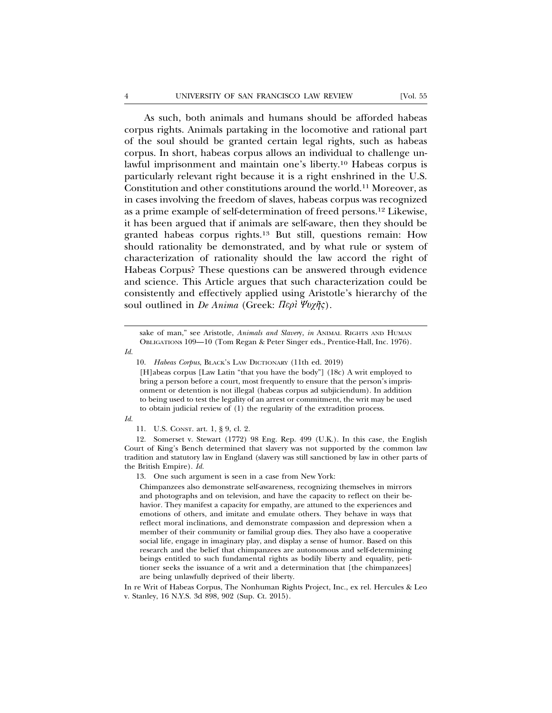As such, both animals and humans should be afforded habeas corpus rights. Animals partaking in the locomotive and rational part of the soul should be granted certain legal rights, such as habeas corpus. In short, habeas corpus allows an individual to challenge unlawful imprisonment and maintain one's liberty.10 Habeas corpus is particularly relevant right because it is a right enshrined in the U.S. Constitution and other constitutions around the world.11 Moreover, as in cases involving the freedom of slaves, habeas corpus was recognized as a prime example of self-determination of freed persons.12 Likewise, it has been argued that if animals are self-aware, then they should be granted habeas corpus rights.13 But still, questions remain: How should rationality be demonstrated, and by what rule or system of characterization of rationality should the law accord the right of Habeas Corpus? These questions can be answered through evidence and science. This Article argues that such characterization could be consistently and effectively applied using Aristotle's hierarchy of the soul outlined in *De Anima* (Greek: Περί Ψυχῆς).

sake of man," see Aristotle, *Animals and Slaver*y, *in* ANIMAL RIGHTS AND HUMAN OBLIGATIONs 109—10 (Tom Regan & Peter Singer eds., Prentice-Hall, Inc. 1976).

*Id.*

[H]abeas corpus [Law Latin "that you have the body"] (18c) A writ employed to bring a person before a court, most frequently to ensure that the person's imprisonment or detention is not illegal (habeas corpus ad subjiciendum). In addition to being used to test the legality of an arrest or commitment, the writ may be used to obtain judicial review of (1) the regularity of the extradition process.

*Id.*

12. Somerset v. Stewart (1772) 98 Eng. Rep. 499 (U.K.). In this case, the English Court of King's Bench determined that slavery was not supported by the common law tradition and statutory law in England (slavery was still sanctioned by law in other parts of the British Empire). *Id.*

13. One such argument is seen in a case from New York:

Chimpanzees also demonstrate self-awareness, recognizing themselves in mirrors and photographs and on television, and have the capacity to reflect on their behavior. They manifest a capacity for empathy, are attuned to the experiences and emotions of others, and imitate and emulate others. They behave in ways that reflect moral inclinations, and demonstrate compassion and depression when a member of their community or familial group dies. They also have a cooperative social life, engage in imaginary play, and display a sense of humor. Based on this research and the belief that chimpanzees are autonomous and self-determining beings entitled to such fundamental rights as bodily liberty and equality, petitioner seeks the issuance of a writ and a determination that [the chimpanzees] are being unlawfully deprived of their liberty.

In re Writ of Habeas Corpus, The Nonhuman Rights Project, Inc., ex rel. Hercules & Leo v. Stanley, 16 N.Y.S. 3d 898, 902 (Sup. Ct. 2015).

<sup>10.</sup> *Habeas Corpus*, BLACK'S LAW DICTIONARY (11th ed. 2019)

<sup>11.</sup> U.S. CONST. art. 1, § 9, cl. 2.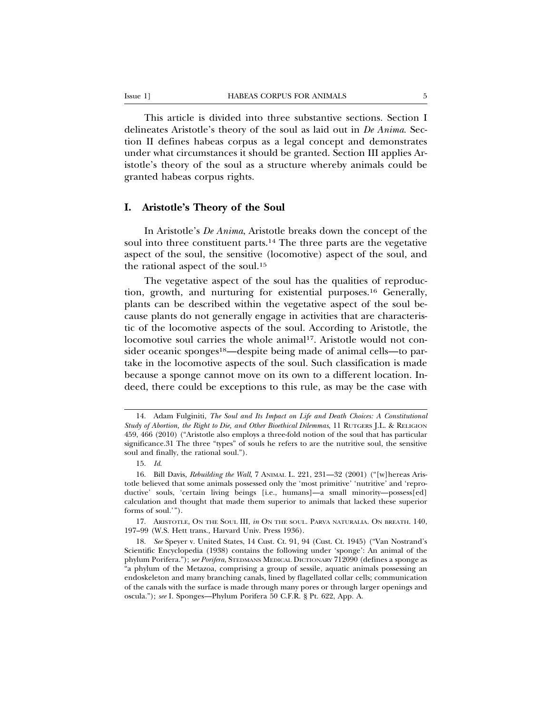This article is divided into three substantive sections. Section I delineates Aristotle's theory of the soul as laid out in *De Anima*. Section II defines habeas corpus as a legal concept and demonstrates under what circumstances it should be granted. Section III applies Aristotle's theory of the soul as a structure whereby animals could be granted habeas corpus rights.

### **I. Aristotle's Theory of the Soul**

In Aristotle's *De Anima*, Aristotle breaks down the concept of the soul into three constituent parts.14 The three parts are the vegetative aspect of the soul, the sensitive (locomotive) aspect of the soul, and the rational aspect of the soul.15

The vegetative aspect of the soul has the qualities of reproduction, growth, and nurturing for existential purposes.16 Generally, plants can be described within the vegetative aspect of the soul because plants do not generally engage in activities that are characteristic of the locomotive aspects of the soul. According to Aristotle, the locomotive soul carries the whole animal<sup>17</sup>. Aristotle would not consider oceanic sponges<sup>18</sup>—despite being made of animal cells—to partake in the locomotive aspects of the soul. Such classification is made because a sponge cannot move on its own to a different location. Indeed, there could be exceptions to this rule, as may be the case with

17. ARISTOTLE, ON THE SOUL III, *in* ON THE SOUL. PARVA NATURALIA. ON BREATH. 140, 197–99 (W.S. Hett trans., Harvard Univ. Press 1936).

<sup>14.</sup> Adam Fulginiti, *The Soul and Its Impact on Life and Death Choices: A Constitutional Study of Abortion, the Right to Die, and Other Bioethical Dilemmas*, 11 RUTGERS J.L. & RELIGION 459, 466 (2010) ("Aristotle also employs a three-fold notion of the soul that has particular significance.31 The three "types" of souls he refers to are the nutritive soul, the sensitive soul and finally, the rational soul.").

<sup>15.</sup> *Id*.

<sup>16.</sup> Bill Davis, *Rebuilding the Wall*, 7 ANIMAL L. 221, 231—32 (2001) ("[w]hereas Aristotle believed that some animals possessed only the 'most primitive' 'nutritive' and 'reproductive' souls, 'certain living beings [i.e., humans]—a small minority—possess[ed] calculation and thought that made them superior to animals that lacked these superior forms of soul.'").

<sup>18.</sup> *See* Speyer v. United States, 14 Cust. Ct. 91, 94 (Cust. Ct. 1945) ("Van Nostrand's Scientific Encyclopedia (1938) contains the following under 'sponge': An animal of the phylum Porifera."); *see Porifera*, STEDMANS MEDICAL DICTIONARY 712090 (defines a sponge as "a phylum of the Metazoa, comprising a group of sessile, aquatic animals possessing an endoskeleton and many branching canals, lined by flagellated collar cells; communication of the canals with the surface is made through many pores or through larger openings and oscula."); *see* I. Sponges—Phylum Porifera 50 C.F.R. § Pt. 622, App. A.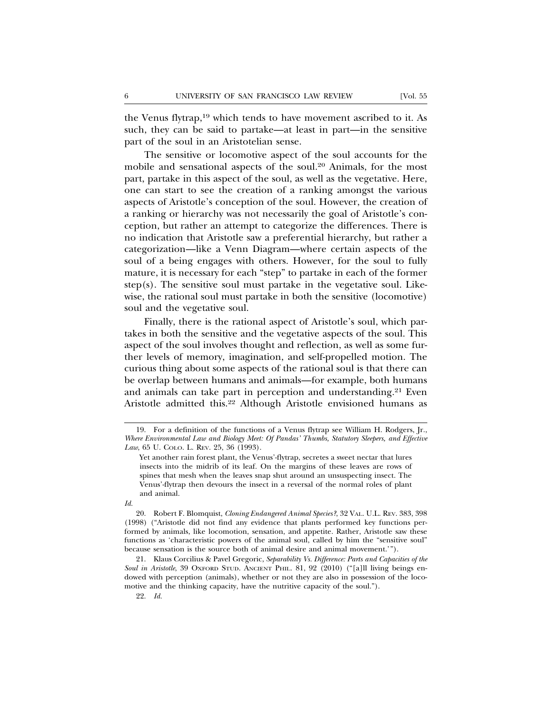the Venus flytrap,<sup>19</sup> which tends to have movement ascribed to it. As such, they can be said to partake—at least in part—in the sensitive part of the soul in an Aristotelian sense.

The sensitive or locomotive aspect of the soul accounts for the mobile and sensational aspects of the soul.20 Animals, for the most part, partake in this aspect of the soul, as well as the vegetative. Here, one can start to see the creation of a ranking amongst the various aspects of Aristotle's conception of the soul. However, the creation of a ranking or hierarchy was not necessarily the goal of Aristotle's conception, but rather an attempt to categorize the differences. There is no indication that Aristotle saw a preferential hierarchy, but rather a categorization—like a Venn Diagram—where certain aspects of the soul of a being engages with others. However, for the soul to fully mature, it is necessary for each "step" to partake in each of the former step(s). The sensitive soul must partake in the vegetative soul. Likewise, the rational soul must partake in both the sensitive (locomotive) soul and the vegetative soul.

Finally, there is the rational aspect of Aristotle's soul, which partakes in both the sensitive and the vegetative aspects of the soul. This aspect of the soul involves thought and reflection, as well as some further levels of memory, imagination, and self-propelled motion. The curious thing about some aspects of the rational soul is that there can be overlap between humans and animals—for example, both humans and animals can take part in perception and understanding.21 Even Aristotle admitted this.22 Although Aristotle envisioned humans as

21. Klaus Corcilius & Pavel Gregoric, *Separability Vs. Difference: Parts and Capacities of the Soul in Aristotle*, 39 OXFORD STUD. ANCIENT PHIL. 81, 92 (2010) ("[a]ll living beings endowed with perception (animals), whether or not they are also in possession of the locomotive and the thinking capacity, have the nutritive capacity of the soul.").

22. *Id.*

<sup>19.</sup> For a definition of the functions of a Venus flytrap see William H. Rodgers, Jr., *Where Environmental Law and Biology Meet: Of Pandas' Thumbs, Statutory Sleepers, and Effective Law*, 65 U. COLO. L. REV. 25, 36 (1993).

Yet another rain forest plant, the Venus'-flytrap, secretes a sweet nectar that lures insects into the midrib of its leaf. On the margins of these leaves are rows of spines that mesh when the leaves snap shut around an unsuspecting insect. The Venus'-flytrap then devours the insect in a reversal of the normal roles of plant and animal.

*Id.*

<sup>20.</sup> Robert F. Blomquist, *Cloning Endangered Animal Species?*, 32 VAL. U.L. REV. 383, 398 (1998) ("Aristotle did not find any evidence that plants performed key functions performed by animals, like locomotion, sensation, and appetite. Rather, Aristotle saw these functions as 'characteristic powers of the animal soul, called by him the "sensitive soul" because sensation is the source both of animal desire and animal movement.'").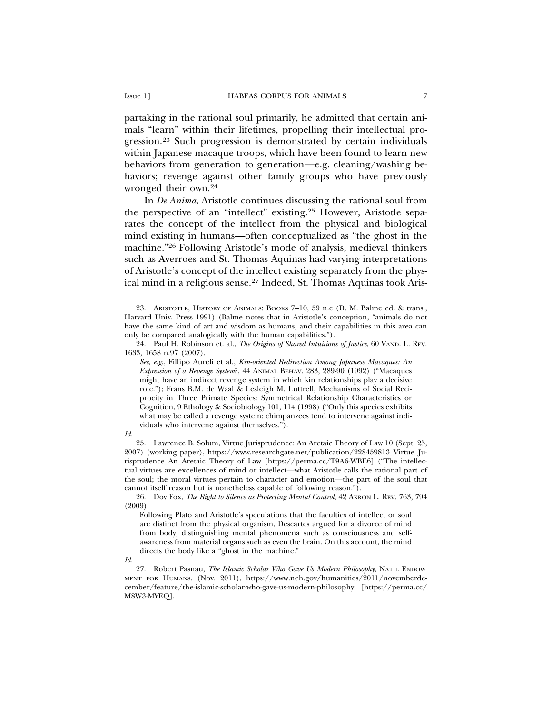partaking in the rational soul primarily, he admitted that certain animals "learn" within their lifetimes, propelling their intellectual progression.23 Such progression is demonstrated by certain individuals within Japanese macaque troops, which have been found to learn new behaviors from generation to generation—e.g. cleaning/washing behaviors; revenge against other family groups who have previously wronged their own.24

In *De Anima*, Aristotle continues discussing the rational soul from the perspective of an "intellect" existing.25 However, Aristotle separates the concept of the intellect from the physical and biological mind existing in humans—often conceptualized as "the ghost in the machine."26 Following Aristotle's mode of analysis, medieval thinkers such as Averroes and St. Thomas Aquinas had varying interpretations of Aristotle's concept of the intellect existing separately from the physical mind in a religious sense.<sup>27</sup> Indeed, St. Thomas Aquinas took Aris-

#### *Id.*

25. Lawrence B. Solum, Virtue Jurisprudence: An Aretaic Theory of Law 10 (Sept. 25, 2007) (working paper), https://www.researchgate.net/publication/228459813\_Virtue\_Jurisprudence\_An\_Aretaic\_Theory\_of\_Law [https://perma.cc/T9A6-WBE6] ("The intellectual virtues are excellences of mind or intellect—what Aristotle calls the rational part of the soul; the moral virtues pertain to character and emotion—the part of the soul that cannot itself reason but is nonetheless capable of following reason.").

26. Dov Fox, *The Right to Silence as Protecting Mental Control*, 42 AKRON L. REV. 763, 794 (2009).

Following Plato and Aristotle's speculations that the faculties of intellect or soul are distinct from the physical organism, Descartes argued for a divorce of mind from body, distinguishing mental phenomena such as consciousness and selfawareness from material organs such as even the brain. On this account, the mind directs the body like a "ghost in the machine."

*Id.*

<sup>23.</sup> ARISTOTLE, HISTORY OF ANIMALS: BOOKS 7–10, 59 n.c (D. M. Balme ed. & trans., Harvard Univ. Press 1991) (Balme notes that in Aristotle's conception, "animals do not have the same kind of art and wisdom as humans, and their capabilities in this area can only be compared analogically with the human capabilities.").

<sup>24.</sup> Paul H. Robinson et. al., *The Origins of Shared Intuitions of Justice*, 60 VAND. L. REV. 1633, 1658 n.97 (2007).

*See*, *e.g*., Fillipo Aureli et al., *Kin-oriented Redirection Among Japanese Macaques: An Expression of a Revenge System*?, 44 ANIMAL BEHAV. 283, 289-90 (1992) ("Macaques might have an indirect revenge system in which kin relationships play a decisive role."); Frans B.M. de Waal & Lesleigh M. Luttrell, Mechanisms of Social Reciprocity in Three Primate Species: Symmetrical Relationship Characteristics or Cognition, 9 Ethology & Sociobiology 101, 114 (1998) ("Only this species exhibits what may be called a revenge system: chimpanzees tend to intervene against individuals who intervene against themselves.").

<sup>27.</sup> Robert Pasnau, *The Islamic Scholar Who Gave Us Modern Philosophy*, NAT'L ENDOW-MENT FOR HUMANS. (Nov. 2011), https://www.neh.gov/humanities/2011/novemberdecember/feature/the-islamic-scholar-who-gave-us-modern-philosophy [https://perma.cc/ M8W3-MYEQ].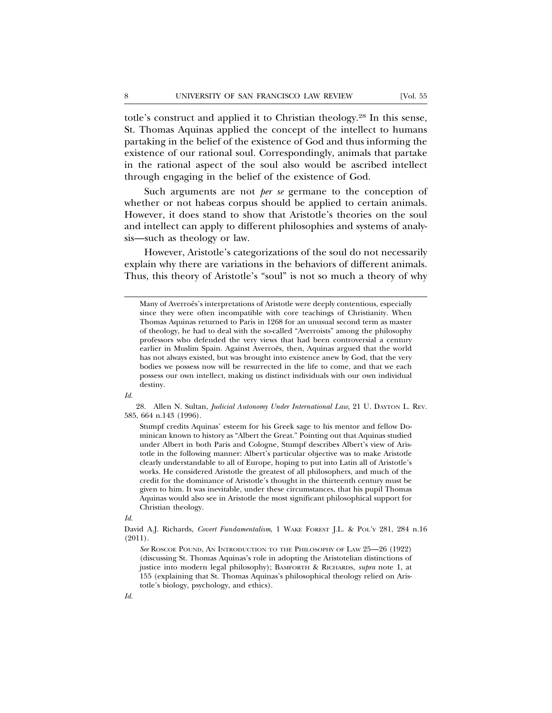totle's construct and applied it to Christian theology.28 In this sense, St. Thomas Aquinas applied the concept of the intellect to humans partaking in the belief of the existence of God and thus informing the existence of our rational soul. Correspondingly, animals that partake in the rational aspect of the soul also would be ascribed intellect through engaging in the belief of the existence of God.

Such arguments are not *per se* germane to the conception of whether or not habeas corpus should be applied to certain animals. However, it does stand to show that Aristotle's theories on the soul and intellect can apply to different philosophies and systems of analysis—such as theology or law.

However, Aristotle's categorizations of the soul do not necessarily explain why there are variations in the behaviors of different animals. Thus, this theory of Aristotle's "soul" is not so much a theory of why

*Id.*

28. Allen N. Sultan, *Judicial Autonomy Under International Law*, 21 U. DAYTON L. REV. 585, 664 n.143 (1996).

Stumpf credits Aquinas' esteem for his Greek sage to his mentor and fellow Dominican known to history as "Albert the Great." Pointing out that Aquinas studied under Albert in both Paris and Cologne, Stumpf describes Albert's view of Aristotle in the following manner: Albert's particular objective was to make Aristotle clearly understandable to all of Europe, hoping to put into Latin all of Aristotle's works. He considered Aristotle the greatest of all philosophers, and much of the credit for the dominance of Aristotle's thought in the thirteenth century must be given to him. It was inevitable, under these circumstances, that his pupil Thomas Aquinas would also see in Aristotle the most significant philosophical support for Christian theology.

*Id.*

*See* ROSCOE POUND, AN INTRODUCTION TO THE PHILOSOPHY OF LAW 25—26 (1922) (discussing St. Thomas Aquinas's role in adopting the Aristotelian distinctions of justice into modern legal philosophy); BAMFORTH & RICHARDS, *supra* note 1, at 155 (explaining that St. Thomas Aquinas's philosophical theology relied on Aristotle's biology, psychology, and ethics).

Many of Averroës's interpretations of Aristotle were deeply contentious, especially since they were often incompatible with core teachings of Christianity. When Thomas Aquinas returned to Paris in 1268 for an unusual second term as master of theology, he had to deal with the so-called "Averroists" among the philosophy professors who defended the very views that had been controversial a century earlier in Muslim Spain. Against Averroës, then, Aquinas argued that the world has not always existed, but was brought into existence anew by God, that the very bodies we possess now will be resurrected in the life to come, and that we each possess our own intellect, making us distinct individuals with our own individual destiny.

David A.J. Richards, *Covert Fundamentalism*, 1 WAKE FOREST J.L. & POL'Y 281, 284 n.16 (2011).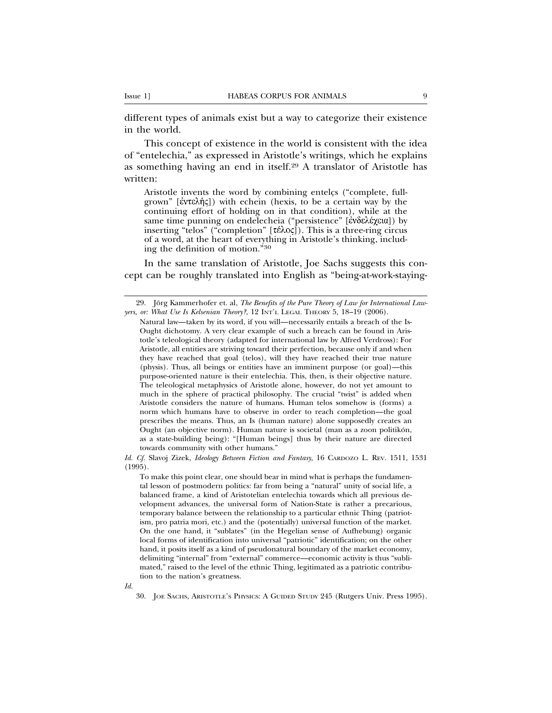different types of animals exist but a way to categorize their existence in the world.

This concept of existence in the world is consistent with the idea of "entelechia," as expressed in Aristotle's writings, which he explains as something having an end in itself.29 A translator of Aristotle has written:

Aristotle invents the word by combining enteles ("complete, fullgrown" [ $\epsilon$ ντελής]) with echein (hexis, to be a certain way by the continuing effort of holding on in that condition), while at the same time punning on endelecheia ("persistence" [ενδελέχεια]) by inserting "telos" ("completion"  $[\tau \in \lambda_0]$ ). This is a three-ring circus of a word, at the heart of everything in Aristotle's thinking, including the definition of motion."<sup>30</sup>

In the same translation of Aristotle, Joe Sachs suggests this concept can be roughly translated into English as "being-at-work-staying-

*Id. Cf.* Slavoj Zizek, *Ideology Between Fiction and Fantasy*, 16 CARDOZO L. REV. 1511, 1531 (1995).

To make this point clear, one should bear in mind what is perhaps the fundamental lesson of postmodern politics: far from being a "natural" unity of social life, a balanced frame, a kind of Aristotelian entelechia towards which all previous development advances, the universal form of Nation-State is rather a precarious, temporary balance between the relationship to a particular ethnic Thing (patriotism, pro patria mori, etc.) and the (potentially) universal function of the market. On the one hand, it "sublates" (in the Hegelian sense of Aufhebung) organic local forms of identification into universal "patriotic" identification; on the other hand, it posits itself as a kind of pseudonatural boundary of the market economy, delimiting "internal" from "external" commerce—economic activity is thus "sublimated," raised to the level of the ethnic Thing, legitimated as a patriotic contribution to the nation's greatness.

*Id.*

<sup>29.</sup> Jörg Kammerhofer et. al, The Benefits of the Pure Theory of Law for International Law*yers, or: What Use Is Kelsenian Theory?*, 12 INT'L LEGAL THEORY 5, 18–19 (2006).

Natural law—taken by its word, if you will—necessarily entails a breach of the Is-Ought dichotomy. A very clear example of such a breach can be found in Aristotle's teleological theory (adapted for international law by Alfred Verdross): For Aristotle, all entities are striving toward their perfection, because only if and when they have reached that goal (telos), will they have reached their true nature (physis). Thus, all beings or entities have an imminent purpose (or goal)—this purpose-oriented nature is their entelechia. This, then, is their objective nature. The teleological metaphysics of Aristotle alone, however, do not yet amount to much in the sphere of practical philosophy. The crucial "twist" is added when Aristotle considers the nature of humans. Human telos somehow is (forms) a norm which humans have to observe in order to reach completion—the goal prescribes the means. Thus, an Is (human nature) alone supposedly creates an Ought (an objective norm). Human nature is societal (man as a zoon politikón, as a state-building being): "[Human beings] thus by their nature are directed towards community with other humans."

<sup>30.</sup> JOE SACHS, ARISTOTLE'S PHYSICS: A GUIDED STUDY 245 (Rutgers Univ. Press 1995).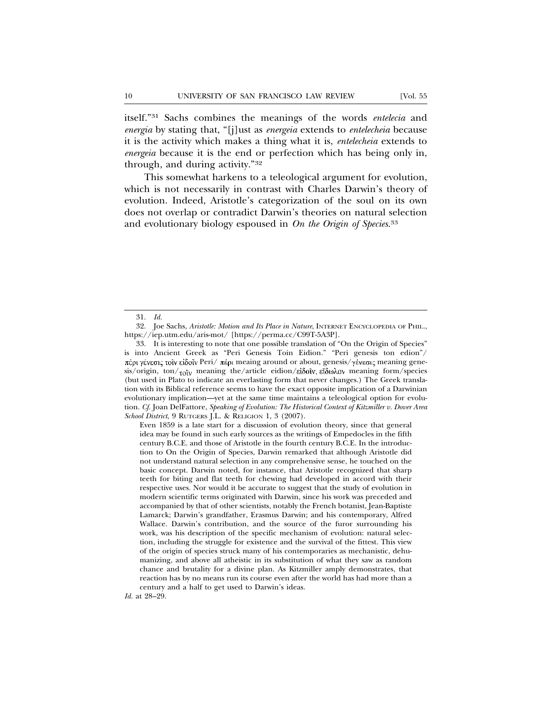itself."31 Sachs combines the meanings of the words *entelecia* and *energia* by stating that, "[j]ust as *energeia* extends to *entelecheia* because it is the activity which makes a thing what it is, *entelecheia* extends to *energeia* because it is the end or perfection which has being only in, through, and during activity."32

This somewhat harkens to a teleological argument for evolution, which is not necessarily in contrast with Charles Darwin's theory of evolution. Indeed, Aristotle's categorization of the soul on its own does not overlap or contradict Darwin's theories on natural selection and evolutionary biology espoused in *On the Origin of Species*. 33

<sup>31.</sup> *Id.*

<sup>32.</sup> Joe Sachs, *Aristotle: Motion and Its Place in Nature*, INTERNET ENCYCLOPEDIA OF PHIL., https://iep.utm.edu/aris-mot/ [https://perma.cc/C99T-5A3P].

<sup>33.</sup> It is interesting to note that one possible translation of "On the Origin of Species" is into Ancient Greek as "Peri Genesis Toin Eidion." "Peri genesis ton edion"/ πέρι γένεσις τοῖν εἰδοῖν Peri/ πέρι meaing around or about, genesis/ γένεσις meaning genesis/origin, ton/ $\tau_{\text{OIV}}$  meaning the/article eidion/είδουν, εΐδωλον meaning form/species (but used in Plato to indicate an everlasting form that never changes.) The Greek translation with its Biblical reference seems to have the exact opposite implication of a Darwinian evolutionary implication—yet at the same time maintains a teleological option for evolution. *Cf.* Joan DelFattore, *Speaking of Evolution: The Historical Context of Kitzmiller v. Dover Area School District*, 9 RUTGERS J.L. & RELIGION 1, 3 (2007).

Even 1859 is a late start for a discussion of evolution theory, since that general idea may be found in such early sources as the writings of Empedocles in the fifth century B.C.E. and those of Aristotle in the fourth century B.C.E. In the introduction to On the Origin of Species, Darwin remarked that although Aristotle did not understand natural selection in any comprehensive sense, he touched on the basic concept. Darwin noted, for instance, that Aristotle recognized that sharp teeth for biting and flat teeth for chewing had developed in accord with their respective uses. Nor would it be accurate to suggest that the study of evolution in modern scientific terms originated with Darwin, since his work was preceded and accompanied by that of other scientists, notably the French botanist, Jean-Baptiste Lamarck; Darwin's grandfather, Erasmus Darwin; and his contemporary, Alfred Wallace. Darwin's contribution, and the source of the furor surrounding his work, was his description of the specific mechanism of evolution: natural selection, including the struggle for existence and the survival of the fittest. This view of the origin of species struck many of his contemporaries as mechanistic, dehumanizing, and above all atheistic in its substitution of what they saw as random chance and brutality for a divine plan. As Kitzmiller amply demonstrates, that reaction has by no means run its course even after the world has had more than a century and a half to get used to Darwin's ideas.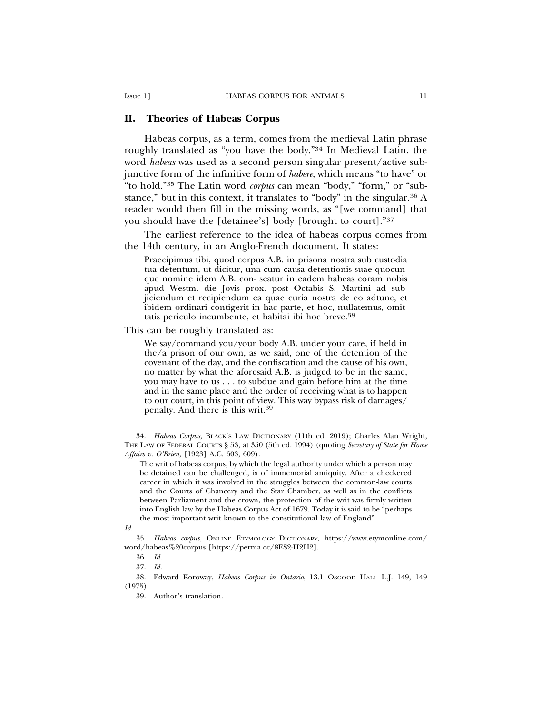#### **II. Theories of Habeas Corpus**

Habeas corpus, as a term, comes from the medieval Latin phrase roughly translated as "you have the body."34 In Medieval Latin, the word *habeas* was used as a second person singular present/active subjunctive form of the infinitive form of *habere*, which means "to have" or "to hold."35 The Latin word *corpus* can mean "body," "form," or "substance," but in this context, it translates to "body" in the singular.36 A reader would then fill in the missing words, as "[we command] that you should have the [detainee's] body [brought to court]."37

The earliest reference to the idea of habeas corpus comes from the 14th century, in an Anglo-French document. It states:

Praecipimus tibi, quod corpus A.B. in prisona nostra sub custodia tua detentum, ut dicitur, una cum causa detentionis suae quocunque nomine idem A.B. con- seatur in eadem habeas coram nobis apud Westm. die Jovis prox. post Octabis S. Martini ad subjiciendum et recipiendum ea quae curia nostra de eo adtunc, et ibidem ordinari contigerit in hac parte, et hoc, nullatemus, omittatis periculo incumbente, et habitai ibi hoc breve.<sup>38</sup>

This can be roughly translated as:

We say/command you/your body A.B. under your care, if held in the/a prison of our own, as we said, one of the detention of the covenant of the day, and the confiscation and the cause of his own, no matter by what the aforesaid A.B. is judged to be in the same, you may have to us . . . to subdue and gain before him at the time and in the same place and the order of receiving what is to happen to our court, in this point of view. This way bypass risk of damages/ penalty. And there is this writ.<sup>39</sup>

38. Edward Koroway, *Habeas Corpus in Ontario*, 13.1 OSGOOD HALL L.J. 149, 149 (1975).

<sup>34.</sup> *Habeas Corpus*, BLACK'S LAW DICTIONARY (11th ed. 2019); Charles Alan Wright, THE LAW OF FEDERAL COURTS § 53, at 350 (5th ed. 1994) (quoting *Secretary of State for Home Affairs v. O'Brien*, [1923] A.C. 603, 609).

The writ of habeas corpus, by which the legal authority under which a person may be detained can be challenged, is of immemorial antiquity. After a checkered career in which it was involved in the struggles between the common-law courts and the Courts of Chancery and the Star Chamber, as well as in the conflicts between Parliament and the crown, the protection of the writ was firmly written into English law by the Habeas Corpus Act of 1679. Today it is said to be "perhaps the most important writ known to the constitutional law of England"

*Id.*

<sup>35.</sup> *Habeas corpus*, ONLINE ETYMOLOGY DICTIONARY, https://www.etymonline.com/ word/habeas%20corpus [https://perma.cc/8ES2-H2H2].

<sup>36.</sup> *Id.*

<sup>37.</sup> *Id.*

<sup>39.</sup> Author's translation.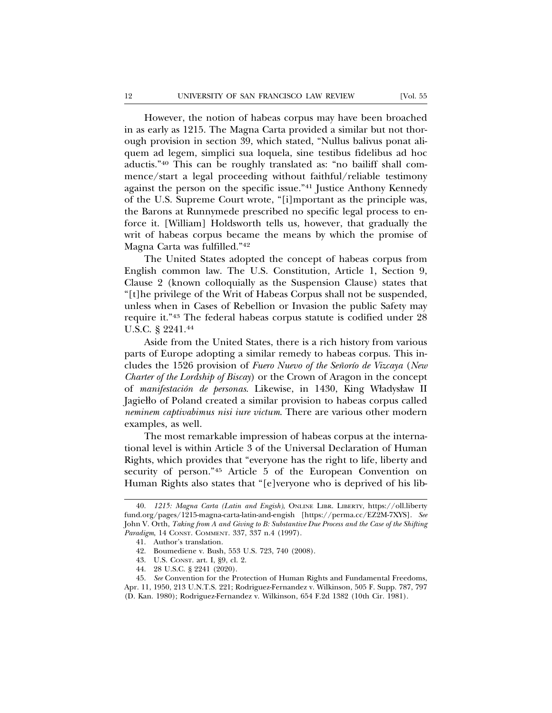However, the notion of habeas corpus may have been broached in as early as 1215. The Magna Carta provided a similar but not thorough provision in section 39, which stated, "Nullus balivus ponat aliquem ad legem, simplici sua loquela, sine testibus fidelibus ad hoc aductis."40 This can be roughly translated as: "no bailiff shall commence/start a legal proceeding without faithful/reliable testimony against the person on the specific issue."41 Justice Anthony Kennedy of the U.S. Supreme Court wrote, "[i]mportant as the principle was, the Barons at Runnymede prescribed no specific legal process to enforce it. [William] Holdsworth tells us, however, that gradually the writ of habeas corpus became the means by which the promise of Magna Carta was fulfilled."42

The United States adopted the concept of habeas corpus from English common law. The U.S. Constitution, Article 1, Section 9, Clause 2 (known colloquially as the Suspension Clause) states that "[t]he privilege of the Writ of Habeas Corpus shall not be suspended, unless when in Cases of Rebellion or Invasion the public Safety may require it."43 The federal habeas corpus statute is codified under 28 U.S.C. § 2241.44

Aside from the United States, there is a rich history from various parts of Europe adopting a similar remedy to habeas corpus. This includes the 1526 provision of *Fuero Nuevo of the Señorío de Vizcaya (New Charter of the Lordship of Biscay*) or the Crown of Aragon in the concept of *manifestacion de personas ´* . Likewise, in 1430, King Władysław II Jagiełło of Poland created a similar provision to habeas corpus called *neminem captivabimus nisi iure victum*. There are various other modern examples, as well.

The most remarkable impression of habeas corpus at the international level is within Article 3 of the Universal Declaration of Human Rights, which provides that "everyone has the right to life, liberty and security of person."45 Article 5 of the European Convention on Human Rights also states that "[e]veryone who is deprived of his lib-

<sup>40.</sup> *1215: Magna Carta (Latin and Engish)*, ONLINE LIBR. LIBERTY, https://oll.liberty fund.org/pages/1215-magna-carta-latin-and-engish [https://perma.cc/EZ2M-7XYS]. *See* John V. Orth, *Taking from A and Giving to B: Substantive Due Process and the Case of the Shifting Paradigm*, 14 CONST. COMMENT. 337, 337 n.4 (1997).

<sup>41.</sup> Author's translation.

<sup>42.</sup> Boumediene v. Bush, 553 U.S. 723, 740 (2008).

<sup>43.</sup> U.S. CONST. art. I, §9, cl. 2.

<sup>44. 28</sup> U.S.C. § 2241 (2020).

<sup>45.</sup> *See* Convention for the Protection of Human Rights and Fundamental Freedoms, Apr. 11, 1950, 213 U.N.T.S. 221; Rodriguez-Fernandez v. Wilkinson, 505 F. Supp. 787, 797 (D. Kan. 1980); Rodriguez-Fernandez v. Wilkinson, 654 F.2d 1382 (10th Cir. 1981).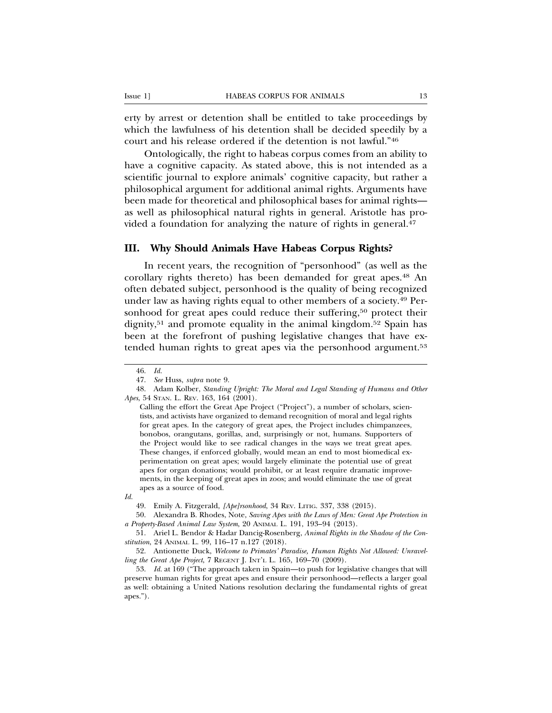erty by arrest or detention shall be entitled to take proceedings by which the lawfulness of his detention shall be decided speedily by a court and his release ordered if the detention is not lawful."46

Ontologically, the right to habeas corpus comes from an ability to have a cognitive capacity. As stated above, this is not intended as a scientific journal to explore animals' cognitive capacity, but rather a philosophical argument for additional animal rights. Arguments have been made for theoretical and philosophical bases for animal rights as well as philosophical natural rights in general. Aristotle has provided a foundation for analyzing the nature of rights in general.<sup>47</sup>

#### **III. Why Should Animals Have Habeas Corpus Rights?**

In recent years, the recognition of "personhood" (as well as the corollary rights thereto) has been demanded for great apes.48 An often debated subject, personhood is the quality of being recognized under law as having rights equal to other members of a society.49 Personhood for great apes could reduce their suffering,<sup>50</sup> protect their dignity,<sup>51</sup> and promote equality in the animal kingdom.<sup>52</sup> Spain has been at the forefront of pushing legislative changes that have extended human rights to great apes via the personhood argument.<sup>53</sup>

<sup>46.</sup> *Id.*

<sup>47.</sup> *See* Huss, *supra* note 9.

<sup>48.</sup> Adam Kolber, *Standing Upright: The Moral and Legal Standing of Humans and Other Apes*, 54 STAN. L. REV. 163, 164 (2001).

Calling the effort the Great Ape Project ("Project"), a number of scholars, scientists, and activists have organized to demand recognition of moral and legal rights for great apes. In the category of great apes, the Project includes chimpanzees, bonobos, orangutans, gorillas, and, surprisingly or not, humans. Supporters of the Project would like to see radical changes in the ways we treat great apes. These changes, if enforced globally, would mean an end to most biomedical experimentation on great apes; would largely eliminate the potential use of great apes for organ donations; would prohibit, or at least require dramatic improvements, in the keeping of great apes in zoos; and would eliminate the use of great apes as a source of food.

*Id.*

<sup>49.</sup> Emily A. Fitzgerald, *[Ape]rsonhood*, 34 REV. LITIG. 337, 338 (2015).

<sup>50.</sup> Alexandra B. Rhodes, Note, *Saving Apes with the Laws of Men: Great Ape Protection in a Property-Based Animal Law System*, 20 ANIMAL L. 191, 193–94 (2013).

<sup>51.</sup> Ariel L. Bendor & Hadar Dancig-Rosenberg, *Animal Rights in the Shadow of the Constitution*, 24 ANIMAL L. 99, 116–17 n.127 (2018).

<sup>52.</sup> Antionette Duck, *Welcome to Primates' Paradise, Human Rights Not Allowed: Unravelling the Great Ape Project*, 7 REGENT J. INT'L L. 165, 169–70 (2009).

<sup>53.</sup> *Id.* at 169 ("The approach taken in Spain—to push for legislative changes that will preserve human rights for great apes and ensure their personhood—reflects a larger goal as well: obtaining a United Nations resolution declaring the fundamental rights of great apes.").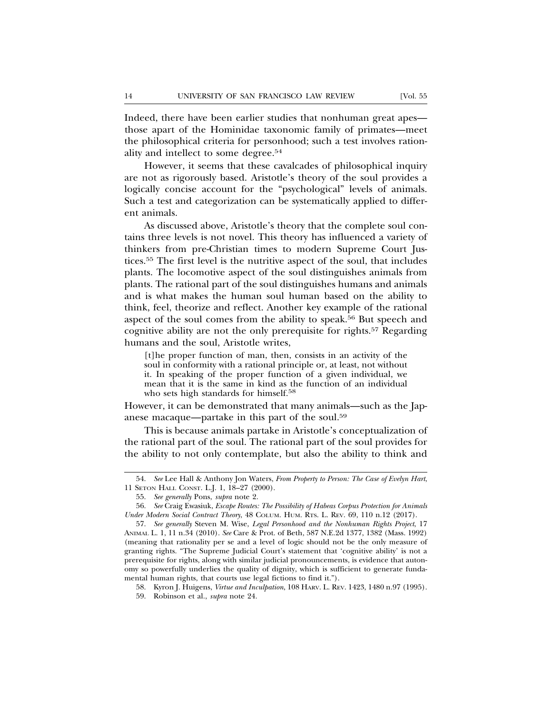Indeed, there have been earlier studies that nonhuman great apes those apart of the Hominidae taxonomic family of primates—meet the philosophical criteria for personhood; such a test involves rationality and intellect to some degree.54

However, it seems that these cavalcades of philosophical inquiry are not as rigorously based. Aristotle's theory of the soul provides a logically concise account for the "psychological" levels of animals. Such a test and categorization can be systematically applied to different animals.

As discussed above, Aristotle's theory that the complete soul contains three levels is not novel. This theory has influenced a variety of thinkers from pre-Christian times to modern Supreme Court Justices.55 The first level is the nutritive aspect of the soul, that includes plants. The locomotive aspect of the soul distinguishes animals from plants. The rational part of the soul distinguishes humans and animals and is what makes the human soul human based on the ability to think, feel, theorize and reflect. Another key example of the rational aspect of the soul comes from the ability to speak.<sup>56</sup> But speech and cognitive ability are not the only prerequisite for rights.57 Regarding humans and the soul, Aristotle writes,

[t]he proper function of man, then, consists in an activity of the soul in conformity with a rational principle or, at least, not without it. In speaking of the proper function of a given individual, we mean that it is the same in kind as the function of an individual who sets high standards for himself.<sup>58</sup>

However, it can be demonstrated that many animals—such as the Japanese macaque—partake in this part of the soul.59

This is because animals partake in Aristotle's conceptualization of the rational part of the soul. The rational part of the soul provides for the ability to not only contemplate, but also the ability to think and

<sup>54.</sup> *See* Lee Hall & Anthony Jon Waters, *From Property to Person: The Case of Evelyn Hart*, 11 SETON HALL CONST. L.J. 1, 18–27 (2000).

<sup>55.</sup> *See generally* Pons, *supra* note 2.

<sup>56.</sup> *See* Craig Ewasiuk, *Escape Routes: The Possibility of Habeas Corpus Protection for Animals Under Modern Social Contract Theory*, 48 COLUM. HUM. RTS. L. REV. 69, 110 n.12 (2017).

<sup>57.</sup> *See generally* Steven M. Wise, *Legal Personhood and the Nonhuman Rights Project*, 17 ANIMAL L. 1, 11 n.34 (2010). *See* Care & Prot. of Beth, 587 N.E.2d 1377, 1382 (Mass. 1992) (meaning that rationality per se and a level of logic should not be the only measure of granting rights. "The Supreme Judicial Court's statement that 'cognitive ability' is not a prerequisite for rights, along with similar judicial pronouncements, is evidence that autonomy so powerfully underlies the quality of dignity, which is sufficient to generate fundamental human rights, that courts use legal fictions to find it.").

<sup>58.</sup> Kyron J. Huigens, *Virtue and Inculpation*, 108 HARV. L. REV. 1423, 1480 n.97 (1995). 59. Robinson et al., *supra* note 24.